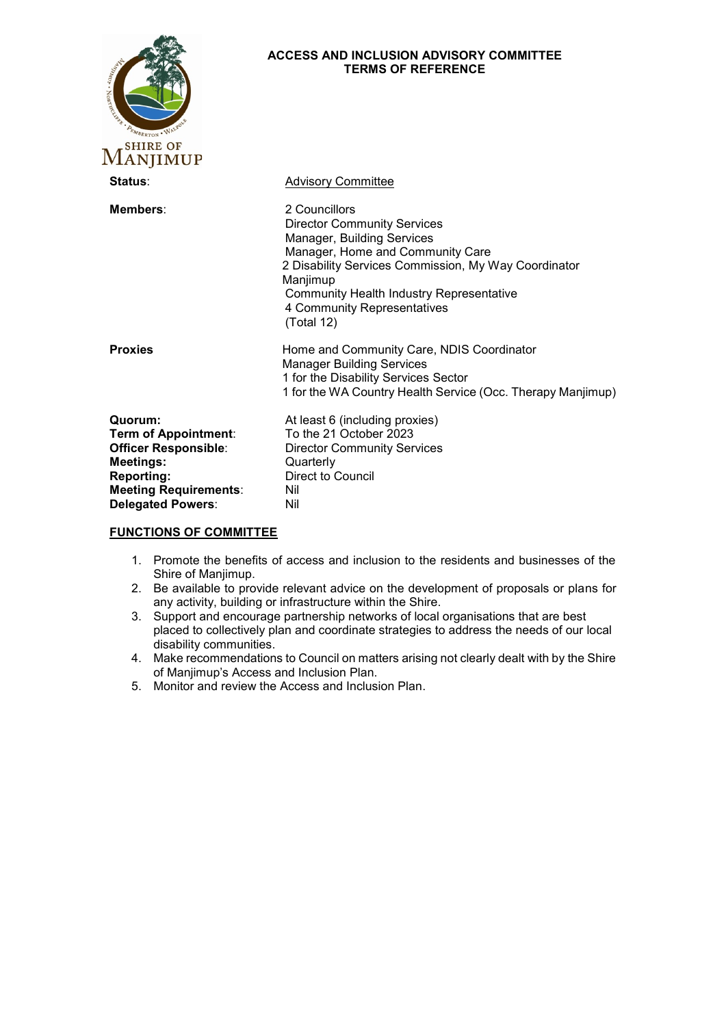| THE REAL PROPERTY AND INCOME.<br><b>ANJIMUP</b>                                                                                                                            | <b>ACCESS AND INCLUSION ADVISORY COMMITTEE</b><br><b>TERMS OF REFERENCE</b>                                                                                                                                                                                                               |
|----------------------------------------------------------------------------------------------------------------------------------------------------------------------------|-------------------------------------------------------------------------------------------------------------------------------------------------------------------------------------------------------------------------------------------------------------------------------------------|
| Status:                                                                                                                                                                    | <b>Advisory Committee</b>                                                                                                                                                                                                                                                                 |
| Members:                                                                                                                                                                   | 2 Councillors<br><b>Director Community Services</b><br>Manager, Building Services<br>Manager, Home and Community Care<br>2 Disability Services Commission, My Way Coordinator<br>Manjimup<br><b>Community Health Industry Representative</b><br>4 Community Representatives<br>(Total 12) |
| <b>Proxies</b>                                                                                                                                                             | Home and Community Care, NDIS Coordinator<br><b>Manager Building Services</b><br>1 for the Disability Services Sector<br>1 for the WA Country Health Service (Occ. Therapy Manjimup)                                                                                                      |
| Quorum:<br><b>Term of Appointment:</b><br><b>Officer Responsible:</b><br><b>Meetings:</b><br><b>Reporting:</b><br><b>Meeting Requirements:</b><br><b>Delegated Powers:</b> | At least 6 (including proxies)<br>To the 21 October 2023<br><b>Director Community Services</b><br>Quarterly<br>Direct to Council<br>Nil<br>Nil                                                                                                                                            |

## **FUNCTIONS OF COMMITTEE**

- 1. Promote the benefits of access and inclusion to the residents and businesses of the Shire of Manjimup.
- 2. Be available to provide relevant advice on the development of proposals or plans for any activity, building or infrastructure within the Shire.
- 3. Support and encourage partnership networks of local organisations that are best placed to collectively plan and coordinate strategies to address the needs of our local disability communities.
- 4. Make recommendations to Council on matters arising not clearly dealt with by the Shire of Manjimup's Access and Inclusion Plan.
- 5. Monitor and review the Access and Inclusion Plan.